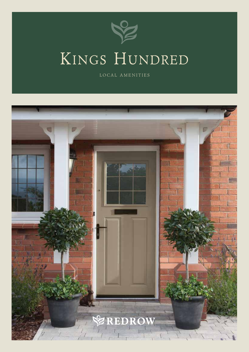

## Kings Hundred

LOCAL AMENITIES

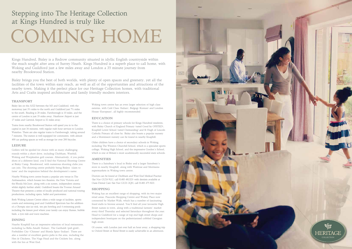#### TRANSPORT

Bisley lies on the A322 between the M3 and Guildford, with the motorway just 3 ½ miles to the north and Guildford just 7 ½ miles to the south. Reading is 20 miles, Farnborough is 10 miles, and the centre of London is just 35 miles away. Heathrow Airport is just 17 miles and Gatwick Airport is 32 miles away.

Trains from nearby Brookwood Station will speed you in to the capital in just 36 minutes, with regular rush hour services to London Waterloo. There are also regular trains to Farnborough, taking around 7 minutes. The station is well equipped for commuters, with almost 400 car parking spaces as well as storage for over 200 bicycles.

#### LEISURE

Golfers will be spoiled for choice with so many challenging rounds within a short drive, including Chobham, Westhill, Woking and Worplesdon golf courses. Alternatively, if you prefer shots of a different kind, you'll find the National Shooting Centre at Bisley Camp, Brookwood, with numerous shooting clubs you can join. The shooting centre probably being Bisleys 'claim to fame' and the inspiration behind the development's name.

Nearby Woking town centre boasts a popular arts venue in The Ambassadors, which houses two theatres, the New Victoria and the Rhoda McGraw, along with a six screen, independent cinema whilst slightly further afield, Guildford boasts the Yvonne Arnaud Theatre that presents a series of locally produced and national touring productions, including opera, ballet and pantomime.

Both Woking Leisure Centre offers a wide range of facilities, sports courts and swimming pool and Guildford Spectrum has the addition of a Olympic size ice rink, ten pin bowling and 4 swimming pools including the leisure pool where your family can enjoy flumes, bubble beds, a tyre ride and wave machine.

#### DINING

Nearby Knaphill has an impressive selection of local restaurants, including La Bella Amalfi (Italian), The Garibaldi (pub grub), Forbidden City (Chinese) and Shimla Spice (Indian). There are also a number of excellent gastro pubs in the area, including the Hen & Chickens, The Nags Head and the Crickets Inn, along with the Inn at West End.

Woking town centre has an even larger selection of high class eateries, with Café Class (Italian), Bulgogi (Korean) and London House (European), all highly recommended.

#### EDUCATION

There is a choice of primary schools for Kings Hundred residents, with Bisley Church of England Primary (rated Good by OFSTED), Knaphill Lower School (rated Outstanding) and St Hugh of Lincoln Catholic Primary all close by. Bisley also boasts a popular nursery and a Montessori nursery can be found in nearby Knaphill.

Older children have a choice of secondary schools in Woking, including The Winston Churchill School, which is a specialist sports college, Woking High School, and the impressive Gordon's School, which is one of Britain's most academically successful state schools.

#### AMENITIES

There is a Sainsbury's local in Bisley and a larger Sainsbury's store in nearby Knaphill, along with Waitrose and Morrisons supermarkets in Woking town centre.

Doctors can be found at Chobham and West End Medical Practice (Sat Nav GU24 9LU, call 01483 481323) with dentists available at Oasis Dental Care (Sat Nav GU21 2QH, call 01483 475 822).

#### SHOPPING

Woking has an excellent range of shopping, with its two major retail areas, Peacocks Shopping Centre and Wolsey Place now connected by Market Walk, which has a number of fascinating fixed stalls to browse around. You'll find all your favourite High Street names in town, along with a traditional farmers' market every third Thursday and selected Saturdays throughout the year. Head to Guildford for a range of top end high street shops and independent boutiques on the pedestrianised cobbled Georgian high street.

Of course, with London just over half an hour away, a shopping trip to Oxford Street or Bond Street is easily achievable in an afternoon.

Kings Hundred, Bisley is a Redrow community situated in idyllic English countryside within the much sought after area of Surrey Heath. Kings Hundred is a superb place to call home, with Woking and Guildford just a few miles away and London a 35 minute journey from nearby Brookwood Station.

Bisley brings you the best of both worlds, with plenty of open spaces and greenery, yet all the facilities of the town within easy reach, as well as all of the opportunities and attractions of the nearby town. Making it the perfect place for our Heritage Collection homes, with traditional Arts and Crafts inspired architecture and family friendly modern interiors.

### Stepping into The Heritage Collection at Kings Hundred is truly like

# COMING HOME